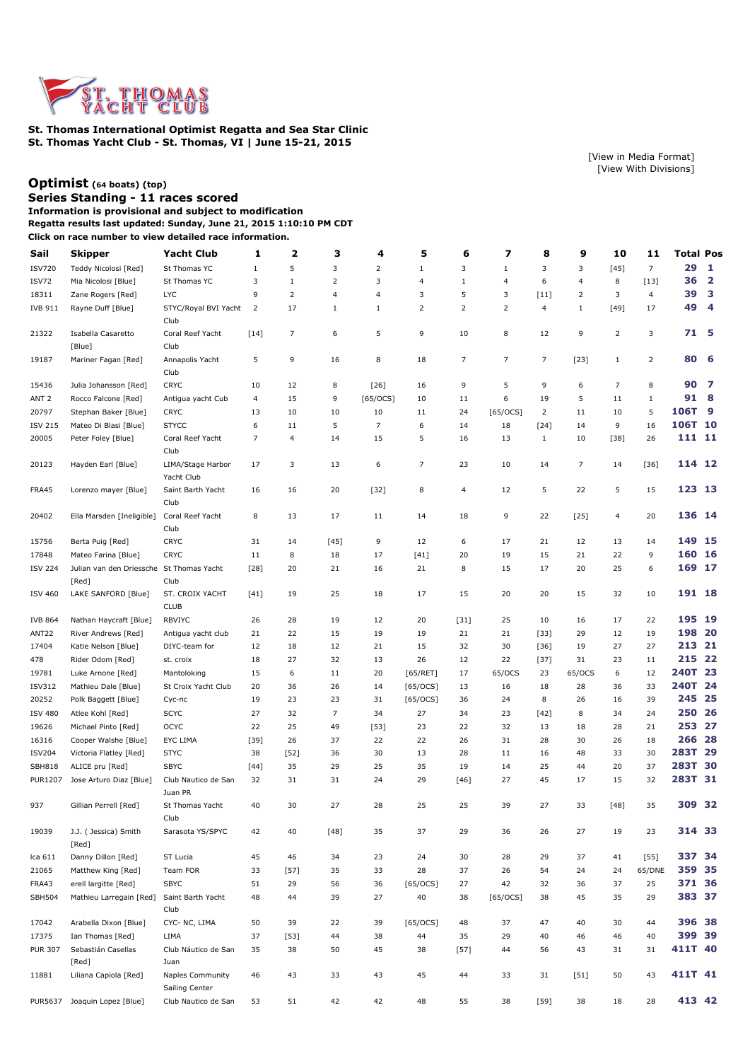

**St. Thomas International Optimist Regatta and Sea Star Clinic St. Thomas Yacht Club - St. Thomas, VI | June 15-21, 2015**

## **[Optimist](http://www.regattanetwork.com/clubmgmt/applet_regatta_results.php?regatta_id=9323&limit_fleet=Optimist) (64 boats) [\(top\)](http://www.regattanetwork.com/clubmgmt/applet_regatta_results.php?regatta_id=9323#top)**

**Series Standing - 11 races scored Information is provisional and subject to modification**

**Regatta results last updated: Sunday, June 21, 2015 1:10:10 PM CDT**

**Click on race number to view detailed race information.**

| Sail             | Skipper                                           | <b>Yacht Club</b>                         | 1              | $\mathbf{z}$ | з              | 4              | 5            | 6      | 7              | 8              | 9              | 10             | 11             | <b>Total Pos</b> |                         |
|------------------|---------------------------------------------------|-------------------------------------------|----------------|--------------|----------------|----------------|--------------|--------|----------------|----------------|----------------|----------------|----------------|------------------|-------------------------|
| <b>ISV720</b>    | Teddy Nicolosi [Red]                              | St Thomas YC                              | 1              | 5            | 3              | $\overline{2}$ | $\mathbf{1}$ | 3      | 1              | 3              | 3              | $[45]$         | $\overline{7}$ | 29               | 1                       |
| ISV72            | Mia Nicolosi [Blue]                               | St Thomas YC                              | 3              | $\mathbf{1}$ | 2              | 3              | 4            | 1      | $\overline{a}$ | 6              | 4              | 8              | $[13]$         | 36               | $\overline{\mathbf{2}}$ |
| 18311            | Zane Rogers [Red]                                 | <b>LYC</b>                                | 9              | 2            | 4              | $\overline{4}$ | 3            | 5      | 3              | $[11]$         | 2              | 3              | $\overline{4}$ | 39               | з                       |
| <b>IVB 911</b>   | Rayne Duff [Blue]                                 | STYC/Royal BVI Yacht<br>Club              | $\overline{2}$ | 17           | 1              | $1\,$          | 2            | 2      | 2              | 4              | $1\,$          | $[49]$         | 17             | 49               | 4                       |
| 21322            | Isabella Casaretto<br>[Blue]                      | Coral Reef Yacht<br>Club                  | $[14]$         | 7            | 6              | 5              | 9            | 10     | 8              | 12             | 9              | $\overline{2}$ | 3              | 71 5             |                         |
| 19187            | Mariner Fagan [Red]                               | Annapolis Yacht<br>Club                   | 5              | 9            | 16             | 8              | 18           | 7      | $\overline{7}$ | $\overline{7}$ | $[23]$         | $\mathbf{1}$   | 2              | 80               | -6                      |
| 15436            | Julia Johansson [Red]                             | <b>CRYC</b>                               | 10             | 12           | 8              | $[26]$         | 16           | 9      | 5              | 9              | 6              | 7              | 8              | 90               | 7                       |
| ANT <sub>2</sub> | Rocco Falcone [Red]                               | Antigua yacht Cub                         | $\overline{4}$ | 15           | 9              | $[65/0CS]$     | 10           | 11     | 6              | 19             | 5              | 11             | $\mathbf{1}$   | 91               | - 8                     |
| 20797            | Stephan Baker [Blue]                              | <b>CRYC</b>                               | 13             | 10           | 10             | 10             | 11           | 24     | [65/OCS]       | $\overline{2}$ | 11             | 10             | 5              | 106T             | 9                       |
| <b>ISV 215</b>   | Mateo Di Blasi [Blue]                             | <b>STYCC</b>                              | 6              | 11           | 5              | $\overline{7}$ | 6            | 14     | 18             | $[24]$         | 14             | 9              | 16             | 106T 10          |                         |
| 20005            | Peter Foley [Blue]                                | Coral Reef Yacht<br>Club                  | 7              | 4            | 14             | 15             | 5            | 16     | 13             | $\mathbf{1}$   | 10             | $[38]$         | 26             | 111 11           |                         |
| 20123            | Hayden Earl [Blue]                                | LIMA/Stage Harbor<br>Yacht Club           | 17             | 3            | 13             | 6              | 7            | 23     | 10             | 14             | $\overline{7}$ | 14             | $[36]$         | 114 12           |                         |
| FRA45            | Lorenzo mayer [Blue]                              | Saint Barth Yacht<br>Club                 | 16             | 16           | 20             | $[32]$         | 8            | 4      | 12             | 5              | 22             | 5              | 15             | 123 13           |                         |
| 20402            | Ella Marsden [Ineligible]                         | Coral Reef Yacht<br>Club                  | 8              | 13           | 17             | 11             | 14           | 18     | 9              | 22             | $[25]$         | 4              | 20             | 136 14           |                         |
| 15756            | Berta Puig [Red]                                  | <b>CRYC</b>                               | 31             | 14           | $[45]$         | 9              | 12           | 6      | 17             | 21             | 12             | 13             | 14             | 149 15           |                         |
| 17848            | Mateo Farina [Blue]                               | <b>CRYC</b>                               | 11             | 8            | 18             | 17             | $[41]$       | 20     | 19             | 15             | 21             | 22             | 9              | 160              | <b>16</b>               |
| <b>ISV 224</b>   | Julian van den Driessche St Thomas Yacht<br>[Red] | Club                                      | $[28]$         | 20           | 21             | 16             | 21           | 8      | 15             | 17             | 20             | 25             | 6              | 169 17           |                         |
| <b>ISV 460</b>   | LAKE SANFORD [Blue]                               | ST. CROIX YACHT<br><b>CLUB</b>            | $[41]$         | 19           | 25             | 18             | 17           | 15     | 20             | 20             | 15             | 32             | 10             | 191 18           |                         |
| <b>IVB 864</b>   | Nathan Haycraft [Blue]                            | <b>RBVIYC</b>                             | 26             | 28           | 19             | 12             | 20           | $[31]$ | 25             | 10             | 16             | 17             | 22             | 195 19           |                         |
| ANT22            | River Andrews [Red]                               | Antigua yacht club                        | 21             | 22           | 15             | 19             | 19           | 21     | 21             | $[33]$         | 29             | 12             | 19             | 198 20           |                         |
| 17404            | Katie Nelson [Blue]                               | DIYC-team for                             | 12             | 18           | 12             | 21             | 15           | 32     | 30             | $[36]$         | 19             | 27             | 27             | 213 21           |                         |
| 478              | Rider Odom [Red]                                  | st. croix                                 | 18             | 27           | 32             | 13             | 26           | 12     | 22             | $[37]$         | 31             | 23             | 11             | 215 22           |                         |
| 19781            | Luke Arnone [Red]                                 | Mantoloking                               | 15             | 6            | 11             | 20             | [65/RET]     | 17     | 65/OCS         | 23             | 65/OCS         | 6              | 12             | 240T 23          |                         |
| <b>ISV312</b>    | Mathieu Dale [Blue]                               | St Croix Yacht Club                       | 20             | 36           | 26             | 14             | [65/OCS]     | 13     | 16             | 18             | 28             | 36             | 33             | 240T 24          |                         |
| 20252            | Polk Baggett [Blue]                               | Cyc-nc                                    | 19             | 23           | 23             | 31             | [65/0CS]     | 36     | 24             | 8              | 26             | 16             | 39             | 245              | 25                      |
| <b>ISV 480</b>   | Atlee Kohl [Red]                                  | <b>SCYC</b>                               | 27             | 32           | $\overline{7}$ | 34             | 27           | 34     | 23             | $[42]$         | 8              | 34             | 24             | 250 26           |                         |
| 19626            | Michael Pinto [Red]                               | <b>OCYC</b>                               | 22             | 25           | 49             | $[53]$         | 23           | 22     | 32             | 13             | 18             | 28             | 21             | 253 27           |                         |
| 16316            | Cooper Walshe [Blue]                              | EYC LIMA                                  | $[39]$         | 26           | 37             | 22             | 22           | 26     | 31             | 28             | 30             | 26             | 18             | 266 28           |                         |
| <b>ISV204</b>    | Victoria Flatley [Red]                            | <b>STYC</b>                               | 38             | $[52]$       | 36             | 30             | 13           | 28     | 11             | 16             | 48             | 33             | 30             | 283T 29          |                         |
| <b>SBH818</b>    | ALICE pru [Red]                                   | <b>SBYC</b>                               | $[44]$         | 35           | 29             | 25             | 35           | 19     | 14             | 25             | 44             | 20             | 37             | 283T 30          |                         |
| <b>PUR1207</b>   | Jose Arturo Diaz [Blue]                           | Club Nautico de San<br>Juan PR            | 32             | 31           | 31             | 24             | 29           | $[46]$ | 27             | 45             | 17             | 15             | 32             | 283T 31          |                         |
| 937              | Gillian Perrell [Red]                             | St Thomas Yacht<br>Club                   | 40             | 30           | 27             | 28             | 25           | 25     | 39             | 27             | 33             | $[48]$         | 35             | 309 32           |                         |
| 19039            | J.J. (Jessica) Smith<br>[Red]                     | Sarasota YS/SPYC                          | 42             | 40           | $[48]$         | 35             | 37           | 29     | 36             | 26             | 27             | 19             | 23             | 314 33           |                         |
| Ica 611          | Danny Dillon [Red]                                | ST Lucia                                  | 45             | 46           | 34             | 23             | 24           | 30     | 28             | 29             | 37             | 41             | $[55]$         | 337 34           |                         |
| 21065            | Matthew King [Red]                                | Team FOR                                  | 33             | $[57]$       | 35             | 33             | 28           | 37     | 26             | 54             | 24             | 24             | 65/DNE         | 359 35           |                         |
| FRA43            | erell largitte [Red]                              | <b>SBYC</b>                               | 51             | 29           | 56             | 36             | $[65/0CS]$   | 27     | 42             | 32             | 36             | 37             | 25             | 371 36           |                         |
| <b>SBH504</b>    | Mathieu Larregain [Red]                           | Saint Barth Yacht<br>Club                 | 48             | 44           | 39             | 27             | 40           | 38     | $[65/0CS]$     | 38             | 45             | 35             | 29             | 383 37           |                         |
| 17042            | Arabella Dixon [Blue]                             | CYC-NC, LIMA                              | 50             | 39           | 22             | 39             | [65/OCS]     | 48     | 37             | 47             | 40             | 30             | 44             | 396 38           |                         |
| 17375            | Ian Thomas [Red]                                  | LIMA                                      | 37             | $[53]$       | 44             | 38             | 44           | 35     | 29             | 40             | 46             | 46             | 40             | 399 39           |                         |
| <b>PUR 307</b>   | Sebastián Casellas<br>[Red]                       | Club Náutico de San<br>Juan               | 35             | 38           | 50             | 45             | 38           | $[57]$ | 44             | 56             | 43             | 31             | 31             | 411T 40          |                         |
| 11881            | Liliana Capiola [Red]                             | <b>Naples Community</b><br>Sailing Center | 46             | 43           | 33             | 43             | 45           | 44     | 33             | 31             | $[51]$         | 50             | 43             | 411T 41          |                         |
|                  | PUR5637 Joaquin Lopez [Blue]                      | Club Nautico de San                       | 53             | 51           | 42             | 42             | 48           | 55     | 38             | $[59]$         | 38             | 18             | 28             | 413 42           |                         |

[\[View in Media Format](http://www.regattanetwork.com/clubmgmt/applet_regatta_results.php?regatta_id=9323&media_format=1)] [\[View With Divisions](http://www.regattanetwork.com/clubmgmt/applet_regatta_results.php?regatta_id=9323&show_divisions=1)]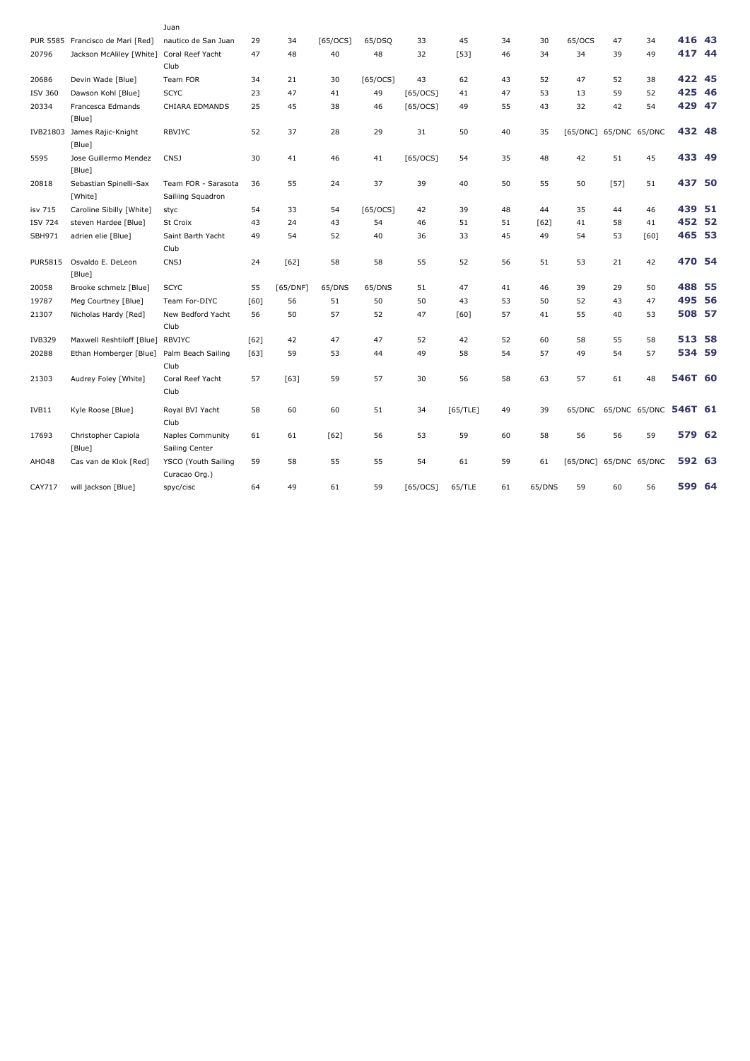|                | PUR 5585 Francisco de Mari [Red] | Juan<br>nautico de San Juan | 29     | 34       | [65/OCS] | 65/DSQ     | 33       | 45       | 34 | 30     | 65/OCS   | 47     | 34                    | 416 43  |  |
|----------------|----------------------------------|-----------------------------|--------|----------|----------|------------|----------|----------|----|--------|----------|--------|-----------------------|---------|--|
| 20796          | Jackson McAliley [White]         | Coral Reef Yacht            | 47     | 48       | 40       | 48         | 32       | [53]     | 46 | 34     | 34       | 39     | 49                    | 417 44  |  |
|                |                                  | Club                        |        |          |          |            |          |          |    |        |          |        |                       |         |  |
| 20686          | Devin Wade [Blue]                | Team FOR                    | 34     | 21       | 30       | [65/OCS]   | 43       | 62       | 43 | 52     | 47       | 52     | 38                    | 422 45  |  |
| <b>ISV 360</b> | Dawson Kohl [Blue]               | <b>SCYC</b>                 | 23     | 47       | 41       | 49         | [65/0CS] | 41       | 47 | 53     | 13       | 59     | 52                    | 425 46  |  |
| 20334          | Francesca Edmands                | CHIARA EDMANDS              | 25     | 45       | 38       | 46         | [65/OCS] | 49       | 55 | 43     | 32       | 42     | 54                    | 429 47  |  |
|                | [Blue]                           |                             |        |          |          |            |          |          |    |        |          |        |                       |         |  |
|                | IVB21803 James Rajic-Knight      | <b>RBVIYC</b>               | 52     | 37       | 28       | 29         | 31       | 50       | 40 | 35     | [65/DNC] |        | 65/DNC 65/DNC         | 432 48  |  |
|                | [Blue]                           |                             |        |          |          |            |          |          |    |        |          |        |                       |         |  |
| 5595           | Jose Guillermo Mendez            | <b>CNSJ</b>                 | 30     | 41       | 46       | 41         | [65/OCS] | 54       | 35 | 48     | 42       | 51     | 45                    | 433 49  |  |
|                | [Blue]                           |                             |        |          |          |            |          |          |    |        |          |        |                       |         |  |
| 20818          | Sebastian Spinelli-Sax           | Team FOR - Sarasota         | 36     | 55       | 24       | 37         | 39       | 40       | 50 | 55     | 50       | $[57]$ | 51                    | 437 50  |  |
|                | [White]                          | Sailiing Squadron           |        |          |          |            |          |          |    |        |          |        |                       |         |  |
| isv 715        | Caroline Sibilly [White]         | styc                        | 54     | 33       | 54       | $[65/0CS]$ | 42       | 39       | 48 | 44     | 35       | 44     | 46                    | 439 51  |  |
| <b>ISV 724</b> | steven Hardee [Blue]             | St Croix                    | 43     | 24       | 43       | 54         | 46       | 51       | 51 | [62]   | 41       | 58     | 41                    | 452 52  |  |
| SBH971         | adrien elie [Blue]               | Saint Barth Yacht           | 49     | 54       | 52       | 40         | 36       | 33       | 45 | 49     | 54       | 53     | [60]                  | 465 53  |  |
|                |                                  | Club                        |        |          |          |            |          |          |    |        |          |        |                       |         |  |
| <b>PUR5815</b> | Osvaldo E. DeLeon                | CNSJ                        | 24     | [62]     | 58       | 58         | 55       | 52       | 56 | 51     | 53       | 21     | 42                    | 470 54  |  |
|                | [Blue]                           |                             |        |          |          |            |          |          |    |        |          |        |                       |         |  |
| 20058          | Brooke schmelz [Blue]            | <b>SCYC</b>                 | 55     | [65/DNF] | 65/DNS   | 65/DNS     | 51       | 47       | 41 | 46     | 39       | 29     | 50                    | 488 55  |  |
| 19787          | Meg Courtney [Blue]              | Team For-DIYC               | [60]   | 56       | 51       | 50         | 50       | 43       | 53 | 50     | 52       | 43     | 47                    | 495 56  |  |
| 21307          | Nicholas Hardy [Red]             | New Bedford Yacht           | 56     | 50       | 57       | 52         | 47       | [60]     | 57 | 41     | 55       | 40     | 53                    | 508 57  |  |
|                |                                  | Club                        |        |          |          |            |          |          |    |        |          |        |                       |         |  |
| <b>IVB329</b>  | Maxwell Reshtiloff [Blue]        | <b>RBVIYC</b>               | $[62]$ | 42       | 47       | 47         | 52       | 42       | 52 | 60     | 58       | 55     | 58                    | 513 58  |  |
| 20288          | Ethan Homberger [Blue]           | Palm Beach Sailing          | [63]   | 59       | 53       | 44         | 49       | 58       | 54 | 57     | 49       | 54     | 57                    | 534 59  |  |
|                |                                  | Club                        |        |          |          |            |          |          |    |        |          |        |                       |         |  |
| 21303          | Audrey Foley [White]             | Coral Reef Yacht            | 57     | [63]     | 59       | 57         | 30       | 56       | 58 | 63     | 57       | 61     | 48                    | 546T 60 |  |
|                |                                  | Club                        |        |          |          |            |          |          |    |        |          |        |                       |         |  |
| IVB11          | Kyle Roose [Blue]                | Royal BVI Yacht             | 58     | 60       | 60       | 51         | 34       | [65/TLE] | 49 | 39     | 65/DNC   |        | 65/DNC 65/DNC 546T 61 |         |  |
|                |                                  | Club                        |        |          |          |            |          |          |    |        |          |        |                       |         |  |
| 17693          | Christopher Capiola              | <b>Naples Community</b>     | 61     | 61       | [62]     | 56         | 53       | 59       | 60 | 58     | 56       | 56     | 59                    | 579 62  |  |
|                | [Blue]                           | Sailing Center              |        |          |          |            |          |          |    |        |          |        |                       |         |  |
| AHO48          | Cas van de Klok [Red]            | YSCO (Youth Sailing         | 59     | 58       | 55       | 55         | 54       | 61       | 59 | 61     | [65/DNC] |        | 65/DNC 65/DNC         | 592 63  |  |
|                |                                  | Curacao Org.)               |        |          |          |            |          |          |    |        |          |        |                       |         |  |
| CAY717         | will jackson [Blue]              | spyc/cisc                   | 64     | 49       | 61       | 59         | [65/OCS] | 65/TLE   | 61 | 65/DNS | 59       | 60     | 56                    | 599 64  |  |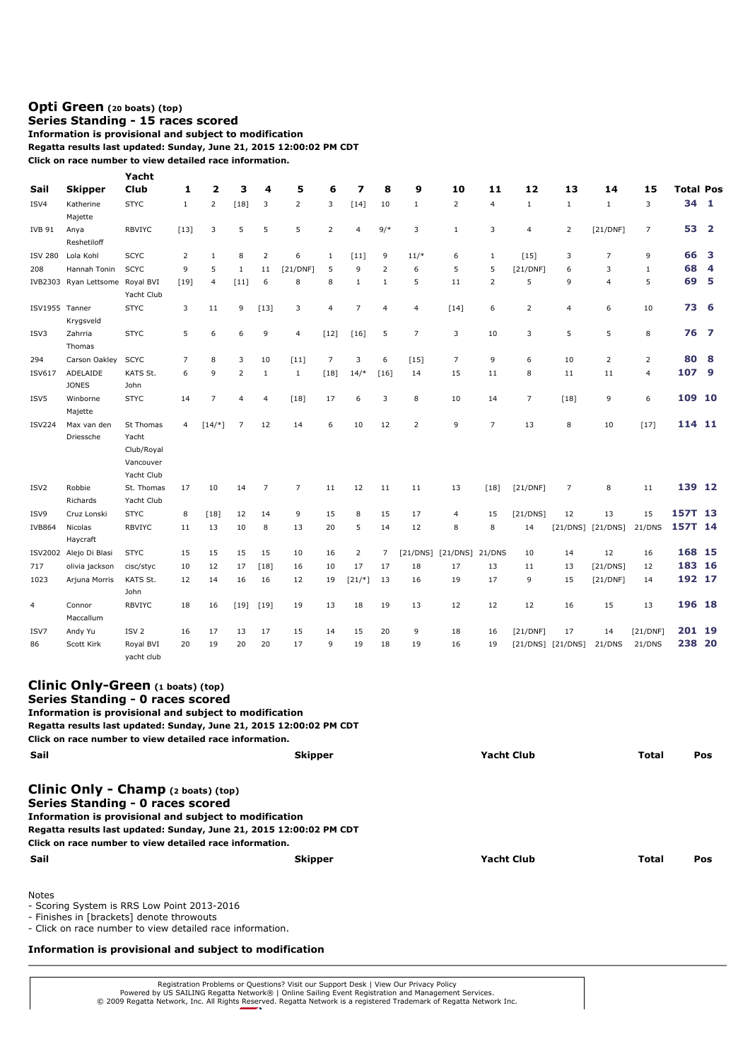## **[Opti Green](http://www.regattanetwork.com/clubmgmt/applet_regatta_results.php?regatta_id=9323&limit_fleet=Opti+Green) (20 boats) [\(top\)](http://www.regattanetwork.com/clubmgmt/applet_regatta_results.php?regatta_id=9323#top)**

## **Series Standing - 15 races scored Information is provisional and subject to modification**

**Regatta results last updated: Sunday, June 21, 2015 12:00:02 PM CDT**

**Click on race number to view detailed race information.**

| Sail             |                                 | Yacht<br>Club                                               | 1              | $\overline{2}$ | з              | 4            | 5              | 6              | 7              | 8              | 9              | 10             | 11                      | 12             | 13                    | 14                | 15             | <b>Total Pos</b> |                |
|------------------|---------------------------------|-------------------------------------------------------------|----------------|----------------|----------------|--------------|----------------|----------------|----------------|----------------|----------------|----------------|-------------------------|----------------|-----------------------|-------------------|----------------|------------------|----------------|
|                  | <b>Skipper</b>                  |                                                             |                |                |                |              |                |                |                |                |                |                |                         |                |                       |                   |                | 34               |                |
| ISV4             | Katherine<br>Majette            | <b>STYC</b>                                                 | 1              | $\overline{2}$ | $[18]$         | 3            | $\overline{2}$ | 3              | $[14]$         | 10             | $\mathbf{1}$   | $\overline{2}$ | $\overline{\mathbf{4}}$ | $\mathbf{1}$   | $\mathbf{1}$          | $\mathbf{1}$      | 3              |                  | 1              |
| <b>IVB 91</b>    | Anya<br>Reshetiloff             | <b>RBVIYC</b>                                               | $[13]$         | 3              | 5              | 5            | 5              | $\overline{2}$ | 4              | $9/*$          | 3              | $\mathbf{1}$   | 3                       | $\overline{4}$ | $\overline{2}$        | [21/DNF]          | $\overline{7}$ | 53               | $\overline{2}$ |
| <b>ISV 280</b>   | Lola Kohl                       | <b>SCYC</b>                                                 | $\overline{2}$ | $\mathbf{1}$   | 8              | 2            | 6              | $\mathbf{1}$   | [11]           | 9              | $11/*$         | 6              | 1                       | [15]           | 3                     | $\overline{7}$    | 9              | 66               | з              |
| 208              | Hannah Tonin                    | <b>SCYC</b>                                                 | 9              | 5              | 1              | 11           | [21/DNF]       | 5              | 9              | $\mathbf 2$    | 6              | 5              | 5                       | [21/DNF]       | 6                     | 3                 | 1              | 68               | 4              |
|                  | IVB2303 Ryan Lettsome Royal BVI | Yacht Club                                                  | $[19]$         | 4              | $[11]$         | 6            | 8              | 8              | $\,1\,$        | $1\,$          | 5              | 11             | $\overline{2}$          | 5              | 9                     | $\overline{4}$    | 5              | 69               | 5              |
| ISV1955 Tanner   | Krygsveld                       | <b>STYC</b>                                                 | 3              | 11             | 9              | $[13]$       | 3              | 4              | $\overline{7}$ | $\overline{4}$ | $\overline{4}$ | $[14]$         | 6                       | $\overline{2}$ | $\overline{4}$        | 6                 | 10             | 73 6             |                |
| ISV3             | Zahrria<br>Thomas               | <b>STYC</b>                                                 | 5              | 6              | 6              | 9            | $\overline{4}$ | $[12]$         | $[16]$         | 5              | $\overline{7}$ | 3              | 10                      | 3              | 5                     | 5                 | 8              | 76               | $\overline{7}$ |
| 294              | Carson Oakley                   | <b>SCYC</b>                                                 | 7              | 8              | 3              | 10           | $[11]$         | $\overline{7}$ | 3              | 6              | [15]           | $\overline{7}$ | 9                       | 6              | 10                    | $\overline{2}$    | $\overline{2}$ | 80               | 8              |
| <b>ISV617</b>    | ADELAIDE<br><b>JONES</b>        | KATS St.<br>John                                            | 6              | 9              | 2              | $\mathbf{1}$ | $\mathbf{1}$   | $[18]$         | $14/*$         | [16]           | 14             | 15             | 11                      | 8              | 11                    | 11                | $\overline{4}$ | 107              | 9              |
| ISV5             | Winborne<br>Majette             | <b>STYC</b>                                                 | 14             | $\overline{7}$ | $\overline{4}$ | 4            | $[18]$         | 17             | 6              | 3              | 8              | 10             | 14                      | $\overline{7}$ | $[18]$                | 9                 | 6              | 109 10           |                |
| <b>ISV224</b>    | Max van den<br>Driessche        | St Thomas<br>Yacht<br>Club/Royal<br>Vancouver<br>Yacht Club | 4              | $[14/*]$       | $\overline{7}$ | 12           | 14             | 6              | 10             | 12             | $\overline{2}$ | 9              | $\overline{7}$          | 13             | 8                     | 10                | $[17]$         | 114 11           |                |
| ISV <sub>2</sub> | Robbie<br>Richards              | St. Thomas<br>Yacht Club                                    | 17             | 10             | 14             | 7            | 7              | 11             | 12             | 11             | 11             | 13             | $[18]$                  | [21/DNF]       | $\overline{7}$        | 8                 | 11             | 139 12           |                |
| ISV9             | Cruz Lonski                     | <b>STYC</b>                                                 | 8              | $[18]$         | 12             | 14           | 9              | 15             | 8              | 15             | 17             | 4              | 15                      | [21/DNS]       | 12                    | 13                | 15             | 157T 13          |                |
| <b>IVB864</b>    | Nicolas<br>Haycraft             | <b>RBVIYC</b>                                               | 11             | 13             | 10             | 8            | 13             | 20             | 5              | 14             | 12             | 8              | 8                       | 14             |                       | [21/DNS] [21/DNS] | 21/DNS         | 157T             | -14            |
|                  | ISV2002 Alejo Di Blasi          | <b>STYC</b>                                                 | 15             | 15             | 15             | 15           | 10             | 16             | 2              | 7              | [21/DNS]       | [21/DNS]       | 21/DNS                  | 10             | 14                    | 12                | 16             | 168 15           |                |
| 717              | olivia jackson                  | cisc/styc                                                   | 10             | 12             | 17             | $[18]$       | 16             | 10             | 17             | 17             | 18             | 17             | 13                      | 11             | 13                    | [21/DNS]          | 12             | 183              | 16             |
| 1023             | Arjuna Morris                   | KATS St.<br>John                                            | 12             | 14             | 16             | 16           | 12             | 19             | $[21/*]$       | 13             | 16             | 19             | 17                      | 9              | 15                    | [21/DNF]          | 14             | 192 17           |                |
| 4                | Connor<br>Maccallum             | <b>RBVIYC</b>                                               | 18             | 16             | $[19]$         | $[19]$       | 19             | 13             | 18             | 19             | 13             | 12             | 12                      | 12             | 16                    | 15                | 13             | 196 18           |                |
| ISV7             | Andy Yu                         | ISV <sub>2</sub>                                            | 16             | 17             | 13             | 17           | 15             | 14             | 15             | 20             | 9              | 18             | 16                      | [21/DNF]       | 17                    | 14                | [21/DNF]       | 201              | 19             |
| 86               | Scott Kirk                      | Royal BVI<br>yacht club                                     | 20             | 19             | 20             | 20           | 17             | 9              | 19             | 18             | 19             | 16             | 19                      |                | $[21/DNS]$ $[21/DNS]$ | 21/DNS            | 21/DNS         | 238              | 20             |

| <b>Clinic Only-Green</b> $(1 \text{ boats})$ $(top)$<br>Series Standing - 0 races scored<br>Information is provisional and subject to modification<br>Regatta results last updated: Sunday, June 21, 2015 12:00:02 PM CDT<br>Click on race number to view detailed race information. |                                                                     |                   |       |     |  |  |  |  |  |  |  |  |
|--------------------------------------------------------------------------------------------------------------------------------------------------------------------------------------------------------------------------------------------------------------------------------------|---------------------------------------------------------------------|-------------------|-------|-----|--|--|--|--|--|--|--|--|
| Sail                                                                                                                                                                                                                                                                                 | <b>Skipper</b>                                                      | <b>Yacht Club</b> | Total | Pos |  |  |  |  |  |  |  |  |
| Clinic Only - Champ (2 boats) (top)<br>Series Standing - 0 races scored<br>Information is provisional and subject to modification<br>Click on race number to view detailed race information.                                                                                         | Regatta results last updated: Sunday, June 21, 2015 12:00:02 PM CDT |                   |       |     |  |  |  |  |  |  |  |  |
| Sail                                                                                                                                                                                                                                                                                 | <b>Skipper</b>                                                      | <b>Yacht Club</b> | Total | Pos |  |  |  |  |  |  |  |  |
| <b>Notes</b>                                                                                                                                                                                                                                                                         |                                                                     |                   |       |     |  |  |  |  |  |  |  |  |

- Scoring System is RRS Low Point 2013-2016

- Finishes in [brackets] denote throwouts

- Click on race number to view detailed race information.

**Information is provisional and subject to modification**